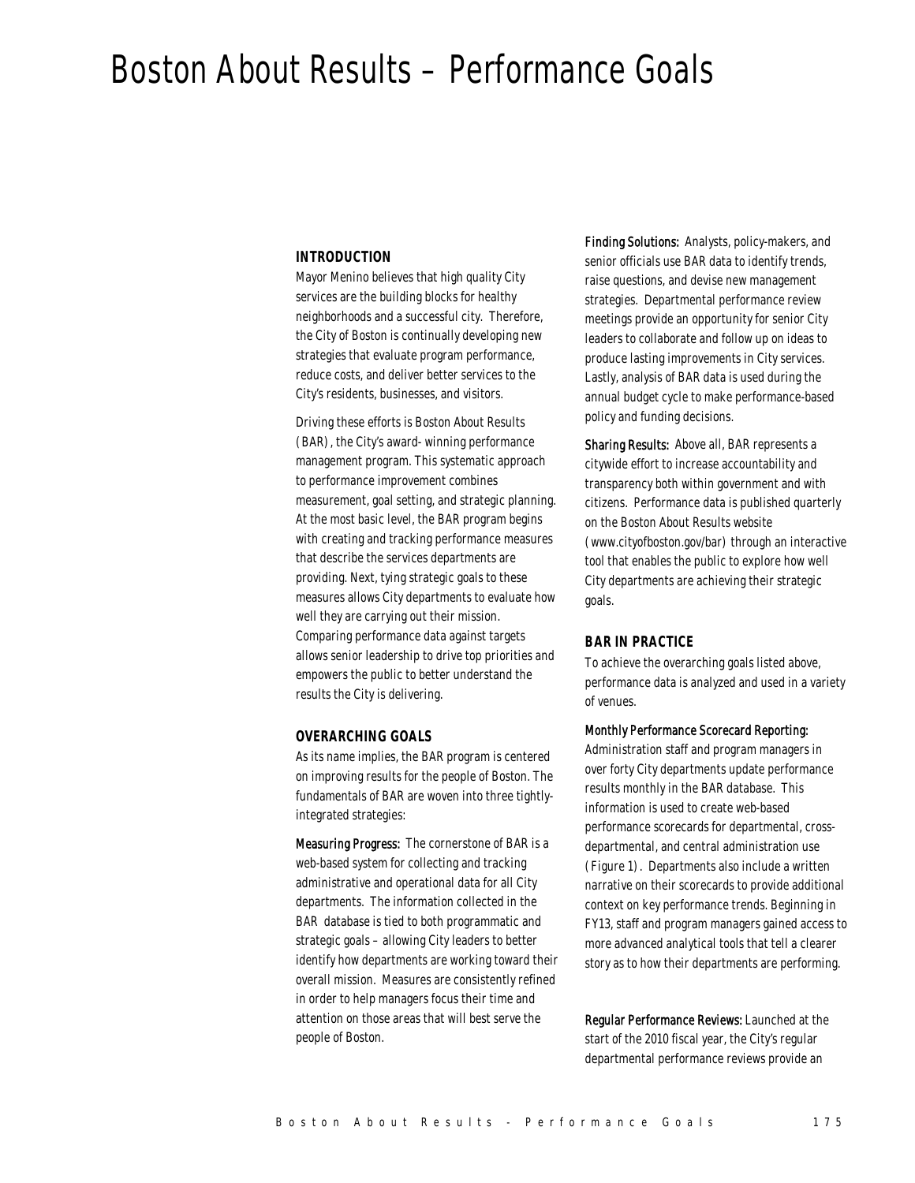# Boston About Results – Performance Goals

#### *INTRODUCTION*

Mayor Menino believes that high quality City services are the building blocks for healthy neighborhoods and a successful city. Therefore, the City of Boston is continually developing new strategies that evaluate program performance, reduce costs, and deliver better services to the City's residents, businesses, and visitors.

Driving these efforts is Boston About Results (BAR), the City's award- winning performance management program. This systematic approach to performance improvement combines measurement, goal setting, and strategic planning. At the most basic level, the BAR program begins with creating and tracking performance measures that describe the services departments are providing. Next, tying strategic goals to these measures allows City departments to evaluate how well they are carrying out their mission. Comparing performance data against targets allows senior leadership to drive top priorities and empowers the public to better understand the results the City is delivering.

#### *OVERARCHING GOALS*

As its name implies, the BAR program is centered on improving results for the people of Boston. The fundamentals of BAR are woven into three tightlyintegrated strategies:

Measuring Progress: The cornerstone of BAR is a web-based system for collecting and tracking administrative and operational data for all City departments. The information collected in the BAR database is tied to both programmatic and strategic goals – allowing City leaders to better identify how departments are working toward their overall mission. Measures are consistently refined in order to help managers focus their time and attention on those areas that will best serve the people of Boston.

Finding Solutions: Analysts, policy-makers, and senior officials use BAR data to identify trends, raise questions, and devise new management strategies. Departmental performance review meetings provide an opportunity for senior City leaders to collaborate and follow up on ideas to produce lasting improvements in City services. Lastly, analysis of BAR data is used during the annual budget cycle to make performance-based policy and funding decisions.

Sharing Results: Above all, BAR represents a citywide effort to increase accountability and transparency both within government and with citizens. Performance data is published quarterly on the Boston About Results website (www.cityofboston.gov/bar) through an interactive tool that enables the public to explore how well City departments are achieving their strategic goals.

#### *BAR IN PRACTICE*

To achieve the overarching goals listed above, performance data is analyzed and used in a variety of venues.

#### Monthly Performance Scorecard Reporting:

Administration staff and program managers in over forty City departments update performance results monthly in the BAR database. This information is used to create web-based performance scorecards for departmental, crossdepartmental, and central administration use (Figure 1). Departments also include a written narrative on their scorecards to provide additional context on key performance trends. Beginning in FY13, staff and program managers gained access to more advanced analytical tools that tell a clearer story as to how their departments are performing.

Regular Performance Reviews: Launched at the start of the 2010 fiscal year, the City's regular departmental performance reviews provide an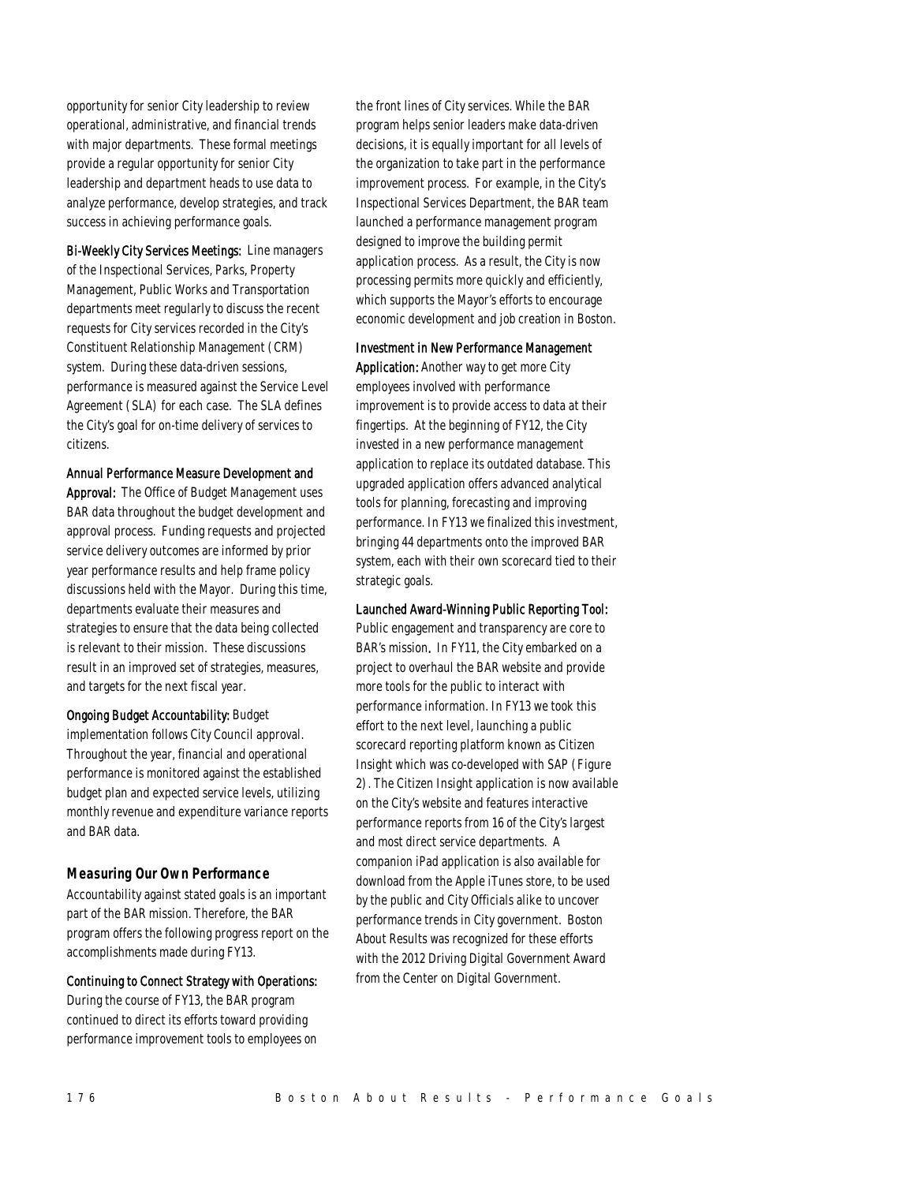opportunity for senior City leadership to review operational, administrative, and financial trends with major departments. These formal meetings provide a regular opportunity for senior City leadership and department heads to use data to analyze performance, develop strategies, and track success in achieving performance goals.

Bi-Weekly City Services Meetings: Line managers of the Inspectional Services, Parks, Property Management, Public Works and Transportation departments meet regularly to discuss the recent requests for City services recorded in the City's Constituent Relationship Management (CRM) system. During these data-driven sessions, performance is measured against the Service Level Agreement (SLA) for each case. The SLA defines the City's goal for on-time delivery of services to citizens.

#### Annual Performance Measure Development and

Approval: The Office of Budget Management uses BAR data throughout the budget development and approval process. Funding requests and projected service delivery outcomes are informed by prior year performance results and help frame policy discussions held with the Mayor. During this time, departments evaluate their measures and strategies to ensure that the data being collected is relevant to their mission. These discussions result in an improved set of strategies, measures, and targets for the next fiscal year.

Ongoing Budget Accountability: Budget implementation follows City Council approval. Throughout the year, financial and operational performance is monitored against the established budget plan and expected service levels, utilizing monthly revenue and expenditure variance reports and BAR data.

#### *Measuring Our Own Performance*

Accountability against stated goals is an important part of the BAR mission. Therefore, the BAR program offers the following progress report on the accomplishments made during FY13.

#### Continuing to Connect Strategy with Operations:

During the course of FY13, the BAR program continued to direct its efforts toward providing performance improvement tools to employees on the front lines of City services. While the BAR program helps senior leaders make data-driven decisions, it is equally important for all levels of the organization to take part in the performance improvement process. For example, in the City's Inspectional Services Department, the BAR team launched a performance management program designed to improve the building permit application process. As a result, the City is now processing permits more quickly and efficiently, which supports the Mayor's efforts to encourage economic development and job creation in Boston.

#### Investment in New Performance Management

Application: Another way to get more City employees involved with performance improvement is to provide access to data at their fingertips. At the beginning of FY12, the City invested in a new performance management application to replace its outdated database. This upgraded application offers advanced analytical tools for planning, forecasting and improving performance. In FY13 we finalized this investment, bringing 44 departments onto the improved BAR system, each with their own scorecard tied to their strategic goals.

#### Launched Award-Winning Public Reporting Tool:

Public engagement and transparency are core to BAR's mission. In FY11, the City embarked on a project to overhaul the BAR website and provide more tools for the public to interact with performance information. In FY13 we took this effort to the next level, launching a public scorecard reporting platform known as Citizen Insight which was co-developed with SAP (Figure 2). The Citizen Insight application is now available on the City's website and features interactive performance reports from 16 of the City's largest and most direct service departments. A companion iPad application is also available for download from the Apple iTunes store, to be used by the public and City Officials alike to uncover performance trends in City government. Boston About Results was recognized for these efforts with the 2012 Driving Digital Government Award from the Center on Digital Government.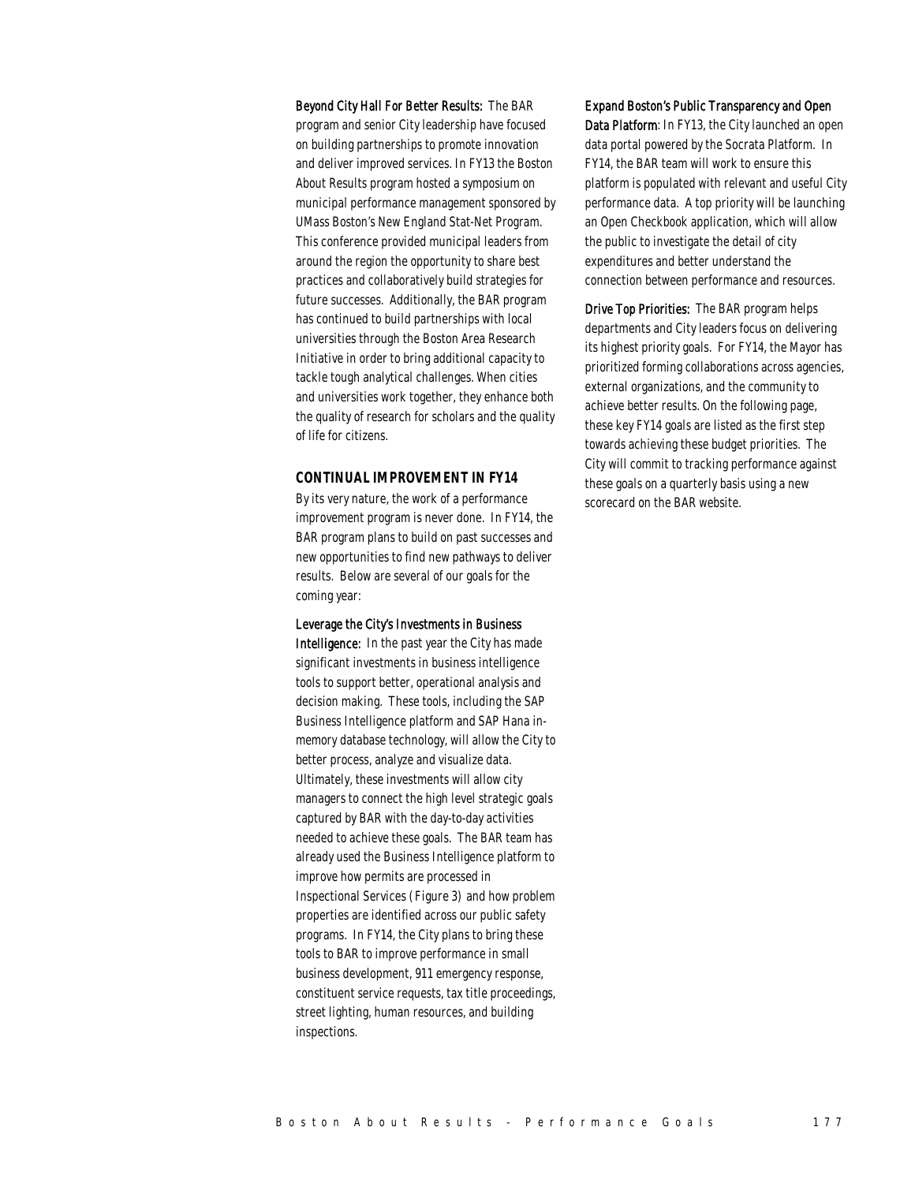Beyond City Hall For Better Results: The BAR program and senior City leadership have focused on building partnerships to promote innovation and deliver improved services. In FY13 the Boston About Results program hosted a symposium on municipal performance management sponsored by UMass Boston's New England Stat-Net Program. This conference provided municipal leaders from around the region the opportunity to share best practices and collaboratively build strategies for future successes. Additionally, the BAR program has continued to build partnerships with local universities through the Boston Area Research Initiative in order to bring additional capacity to tackle tough analytical challenges. When cities and universities work together, they enhance both the quality of research for scholars and the quality of life for citizens.

#### *CONTINUAL IMPROVEMENT IN FY14*

By its very nature, the work of a performance improvement program is never done. In FY14, the BAR program plans to build on past successes and new opportunities to find new pathways to deliver results. Below are several of our goals for the coming year:

#### Leverage the City's Investments in Business

Intelligence: In the past year the City has made significant investments in business intelligence tools to support better, operational analysis and decision making. These tools, including the SAP Business Intelligence platform and SAP Hana inmemory database technology, will allow the City to better process, analyze and visualize data. Ultimately, these investments will allow city managers to connect the high level strategic goals captured by BAR with the day-to-day activities needed to achieve these goals. The BAR team has already used the Business Intelligence platform to improve how permits are processed in Inspectional Services (Figure 3) and how problem properties are identified across our public safety programs. In FY14, the City plans to bring these tools to BAR to improve performance in small business development, 911 emergency response, constituent service requests, tax title proceedings, street lighting, human resources, and building inspections.

Expand Boston's Public Transparency and Open Data Platform: In FY13, the City launched an open data portal powered by the Socrata Platform. In FY14, the BAR team will work to ensure this platform is populated with relevant and useful City performance data. A top priority will be launching an Open Checkbook application, which will allow the public to investigate the detail of city expenditures and better understand the connection between performance and resources.

Drive Top Priorities: The BAR program helps departments and City leaders focus on delivering its highest priority goals. For FY14, the Mayor has prioritized forming collaborations across agencies, external organizations, and the community to achieve better results. On the following page, these key FY14 goals are listed as the first step towards achieving these budget priorities. The City will commit to tracking performance against these goals on a quarterly basis using a new scorecard on the BAR website.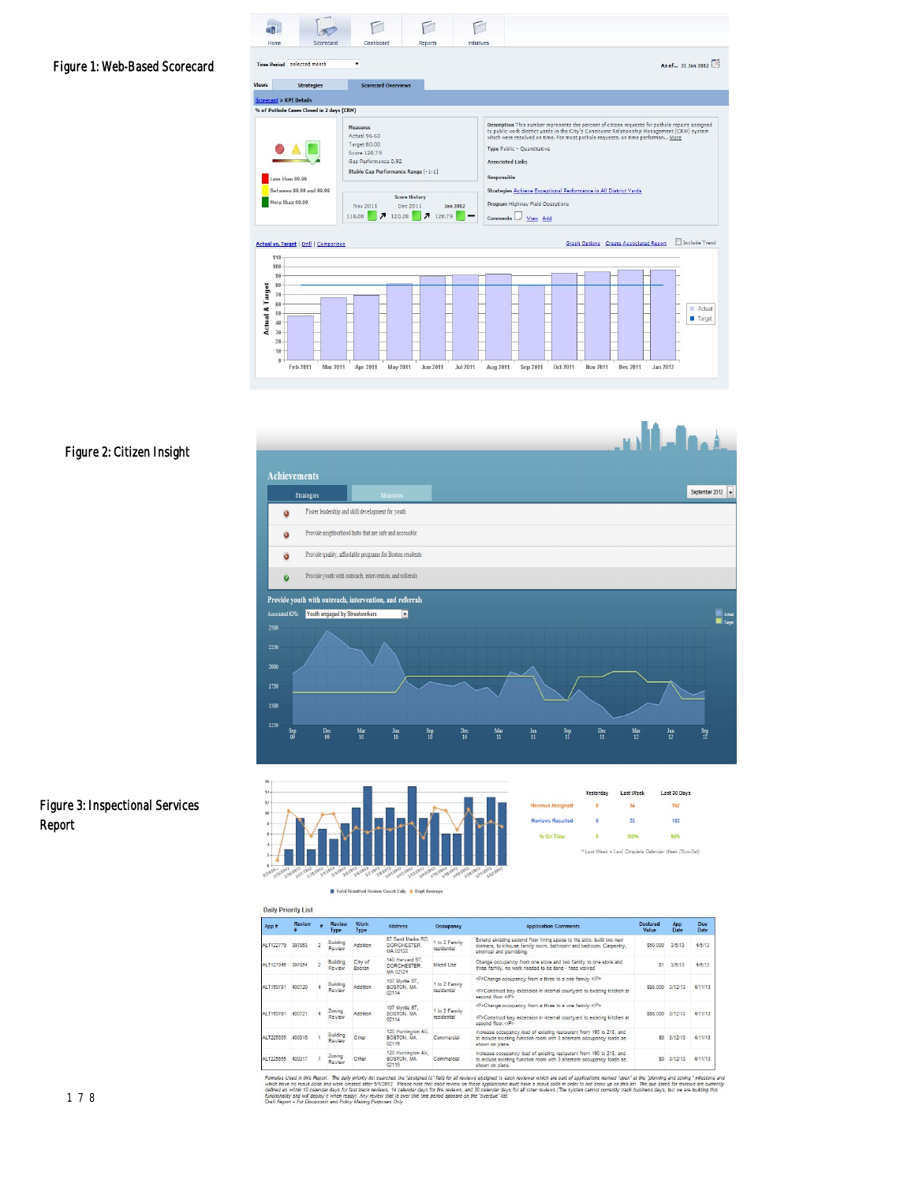### Figure 1: Web-Based Scorecard

a.  $\Box$ F F  $\triangleright$ Home Scorecard Dashhoard Renorte Initiatives Time Period selected As of... 31 Jan 2012 **Scorecard Overviews** Views Strategies <u>Scorecard</u> > KPI Details<br>% of Pothole Cases Closed in 2 days (CRM) Description This number represents the percent of citizen requests for pothole repairs assigned<br>to public work district yards in the City's Consituent Relationship Management (CRM) system<br>which were resolved on time. For m Measures<br>Actual 96.63<br>Target 80.00<br>Score 120.79<br>Gap Performance 0.92<br>Stable Gap Performance Range [-1:1]  $\bullet\blacktriangle$   $\blacksquare$ Type Public - Quantitative C. **Associated Links** ess than 89.99  $R_{\text{est}}$  $-11$ tween 89.99 and 99.99 Strategies Achieve Exceptional Performance in All District Vards Score History<br>
Nov 2011 Dec 2011 Jan 2012<br>
118.00 7 120.28 7 120.79 than 99.99 **Program Highway Field Operations** Comments  $\Box$  <u>View</u> Add Graph Options Create Associated Report | Include Trend Actual vs. Target | Drill | Comparison  $11($  $10<sub>0</sub>$ Actual & Target  $8($  $70 - 60$ <br> $50 - 40 -$ ■ Actual<br>■ Target  $\overline{20}$ 

Mar 2011 Apr 2011 May 2011 Jun 2011 Jul 2011 Aug 2011 Sep 2011 Oct 2011 Nov 2011 Dec 2011

#### Figure 2: Citizen Insight

 $\overline{\mathbf{0}}$  $Feb 2011$ 





|                         | Yesterday | <b>Last Week</b> | Last 30 Days                                       |
|-------------------------|-----------|------------------|----------------------------------------------------|
| <b>Reviews Assigned</b> |           |                  | 162                                                |
| <b>Reviews Resulted</b> |           | 53 <sup>°</sup>  | 183                                                |
| % On Time               |           | 100%             | 98%                                                |
|                         |           |                  | * Last Week = Last Complete Calendar Week (Sun-Sat |

Jan 2012

 $\blacksquare$  Total Resulted Review Count Daily  $\spadesuit$  Dept Average

| App #     | <b>Review</b> | Review<br>Type     | Work<br><b>Type</b> | <b>Address</b>                                | Occupancy                    | <b>Application Comments</b>                                                                                                                                              | <b>Declared</b><br>Value | <b>App</b><br>Date | Due<br>Date |
|-----------|---------------|--------------------|---------------------|-----------------------------------------------|------------------------------|--------------------------------------------------------------------------------------------------------------------------------------------------------------------------|--------------------------|--------------------|-------------|
| ALT122779 | 397883        | Building<br>Review | Addition            | 67 Saint Marks RD.<br>DORCHESTER.<br>MA 02122 | 1 to 2 Family<br>residential | Extend eixisting second floor living space to the attic, build two new<br>dormers, to inhouse family room, bathroom and bedroom, Carpentry,<br>elrotrical and plumbbing. | \$50,000                 | 3/6/13             | 4/5/13      |
| ALT127946 | 397854        | Building<br>Review | City of<br>Boston   | 140 Harvard ST.<br>DORCHESTER.<br>MA 02124    | Mixed Use                    | Change occupancy from one store and two family to one store and<br>three family, no work needed to be done - fees waived                                                 | \$1                      | 3/6/13             | 4/5/13      |
| ALT150781 | 400120        | Building<br>Review | Addition            | 107 Myrtle ST.<br>BOSTON, MA<br>02114         | 1 to 2 Family<br>Isitential  | <p>Change occupancy from a three to a one family.</p><br><p>Construct bay extension in internal courtyard to existing kitchen at<br/>second floor </p>                   | \$88,000                 | 3/12/13            | 4/11/13     |
| ALT150781 | 400121        | Zoning<br>Review   | Addition            | 107 Myrtle ST.<br>BOSTON, MA<br>02114         | 1 to 2 Family<br>residential | <p>Change occupancy from a three to a one family.</p><br><p>Construct bay extension in internal courtyard to existing kitchen at<br/>second floor </p>                   |                          | \$88,000 3/12/13   | 4/11/13     |
| ALT225655 | 400316        | Building<br>Review | Other               | 120 Huntington AV.<br>BOSTON, MA<br>02116     | Commercial                   | Increase occupancy load of existing restaurant from 190 to 218, and<br>to include existing function room with 3 alternate occupancy loads as<br>shown on plans.          | SO <sup>1</sup>          | 3/12/13            | 4/11/13     |
| ALT225655 | 400317        | Zoning<br>Review   | Other               | 120 Huntington AV,<br>BOSTON, MA<br>02116     | Commercial                   | Increase occupancy load of existing restaurant from 190 to 218, and<br>to include existing function room with 3 alternate occupancy loads as<br>shown on plans.          | S0                       | 3/12/13            | 4/11/13     |

Formules Used in this Report. The daily priority list searches the "assigned to" field for all reviews assigned to each reviewer which are part of applications marked "open" at the planning and zoning " milestone and<br>which

## Figure 3: Inspectional Services Report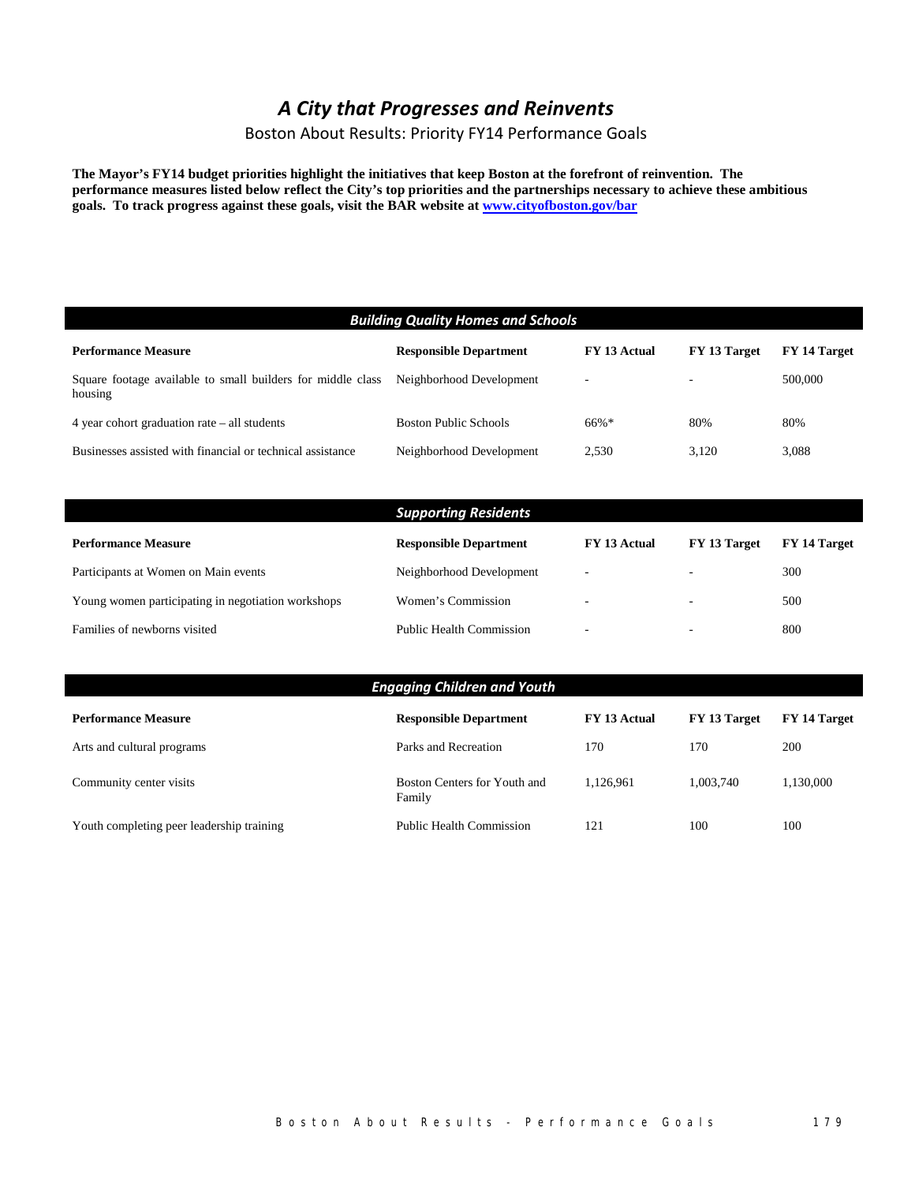## *A City that Progresses and Reinvents*

Boston About Results: Priority FY14 Performance Goals

**The Mayor's FY14 budget priorities highlight the initiatives that keep Boston at the forefront of reinvention. The performance measures listed below reflect the City's top priorities and the partnerships necessary to achieve these ambitious goals. To track progress against these goals, visit the BAR website at www.cityofboston.gov/bar**

| <b>Building Quality Homes and Schools</b> |              |                          |              |  |  |  |  |
|-------------------------------------------|--------------|--------------------------|--------------|--|--|--|--|
| <b>Responsible Department</b>             | FY 13 Actual | FY 13 Target             | FY 14 Target |  |  |  |  |
| Neighborhood Development                  |              | $\overline{\phantom{a}}$ | 500,000      |  |  |  |  |
| <b>Boston Public Schools</b>              | 66%*         | 80%                      | 80%          |  |  |  |  |
| Neighborhood Development                  | 2,530        | 3,120                    | 3,088        |  |  |  |  |
|                                           |              |                          |              |  |  |  |  |
| <b>Supporting Residents</b>               |              |                          |              |  |  |  |  |
| <b>Responsible Department</b>             | FY 13 Actual | FY 13 Target             | FY 14 Target |  |  |  |  |
| Neighborhood Development                  |              |                          | 300          |  |  |  |  |
| Women's Commission                        |              |                          | 500          |  |  |  |  |
| <b>Public Health Commission</b>           |              |                          | 800          |  |  |  |  |
|                                           |              |                          |              |  |  |  |  |

| <b>Engaging Children and Youth</b>        |                                        |              |              |              |  |  |
|-------------------------------------------|----------------------------------------|--------------|--------------|--------------|--|--|
| <b>Performance Measure</b>                | <b>Responsible Department</b>          | FY 13 Actual | FY 13 Target | FY 14 Target |  |  |
| Arts and cultural programs                | Parks and Recreation                   | 170          | 170          | 200          |  |  |
| Community center visits                   | Boston Centers for Youth and<br>Family | 1.126.961    | 1.003.740    | 1,130,000    |  |  |
| Youth completing peer leadership training | <b>Public Health Commission</b>        | 121          | 100          | 100          |  |  |